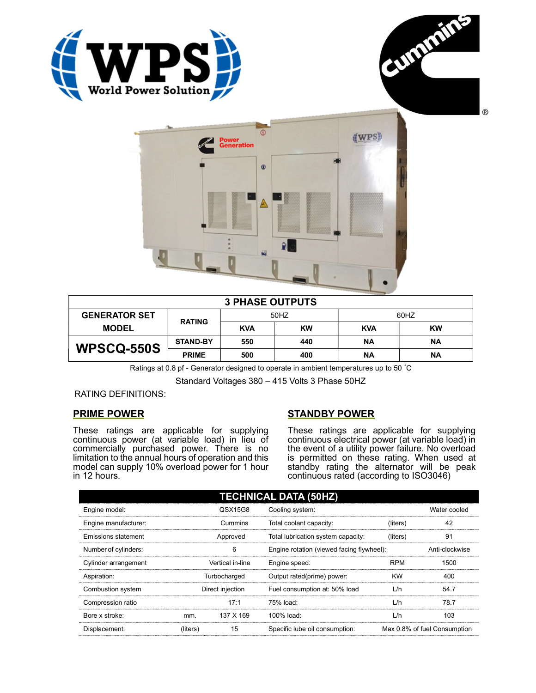





| <b>3 PHASE OUTPUTS</b> |                 |            |           |            |           |  |
|------------------------|-----------------|------------|-----------|------------|-----------|--|
| <b>GENERATOR SET</b>   | <b>RATING</b>   | 50HZ       |           | 60HZ       |           |  |
| <b>MODEL</b>           |                 | <b>KVA</b> | <b>KW</b> | <b>KVA</b> | KW        |  |
| <b>WPSCQ-550S</b>      | <b>STAND-BY</b> | 550        | 440       | <b>NA</b>  | <b>NA</b> |  |
|                        | <b>PRIME</b>    | 500        | 400       | ΝA         | ΝA        |  |

Ratings at 0.8 pf - Generator designed to operate in ambient temperatures up to 50 °C

Standard Voltages 380 – 415 Volts 3 Phase 50HZ

RATING DEFINITIONS:

# PRIME POWER

These ratings are applicable for supplying continuous power (at variable load) in lieu of commercially purchased power. There is no limitation to the annual hours of operation and this model can supply 10% overload power for 1 hour in 12 hours.

# STANDBY POWER

These ratings are applicable for supplying continuous electrical power (at variable load) in the event of a utility power failure. No overload is permitted on these rating. When used at standby rating the alternator will be peak continuous rated (according to ISO3046)

| <b>TECHNICAL DATA (50HZ)</b> |                  |                  |                                           |            |                              |
|------------------------------|------------------|------------------|-------------------------------------------|------------|------------------------------|
| Engine model:                |                  | QSX15G8          | Cooling system:                           |            | Water cooled                 |
| Engine manufacturer:         |                  | Cummins          | Total coolant capacity:                   | (liters)   | 42                           |
| Emissions statement          | Approved         |                  | Total lubrication system capacity:        | (liters)   | 91                           |
| Number of cylinders:         | 6                |                  | Engine rotation (viewed facing flywheel): |            | Anti-clockwise               |
| Cylinder arrangement         |                  | Vertical in-line | Engine speed:                             | <b>RPM</b> | 1500                         |
| Aspiration:                  | Turbocharged     |                  | Output rated(prime) power:                | <b>KW</b>  | 400                          |
| Combustion system            | Direct injection |                  | Fuel consumption at: 50% load             | L/h        | 54.7                         |
| Compression ratio            |                  | 17:1             | 75% load:                                 | L/h        | 78.7                         |
| Bore x stroke:               | mm.              | 137 X 169        | 100% load:                                | L/h        | 103                          |
| Displacement:                | (liters)         | 15               | Specific lube oil consumption:            |            | Max 0.8% of fuel Consumption |